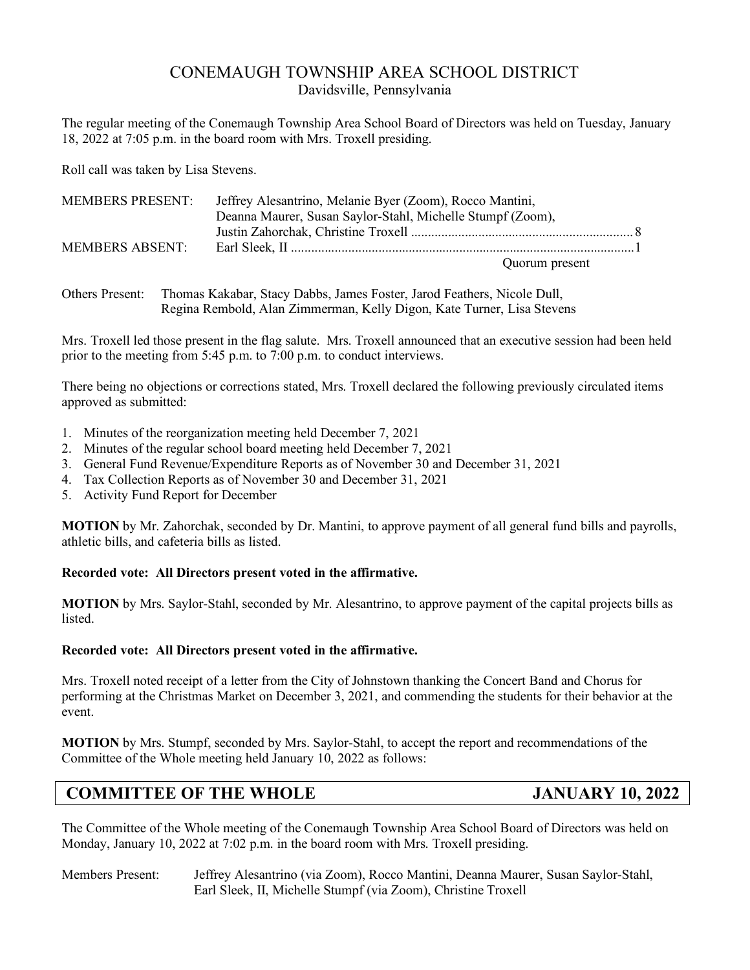# CONEMAUGH TOWNSHIP AREA SCHOOL DISTRICT Davidsville, Pennsylvania

The regular meeting of the Conemaugh Township Area School Board of Directors was held on Tuesday, January 18, 2022 at 7:05 p.m. in the board room with Mrs. Troxell presiding.

Roll call was taken by Lisa Stevens.

| <b>MEMBERS PRESENT:</b> | Jeffrey Alesantrino, Melanie Byer (Zoom), Rocco Mantini,   |  |
|-------------------------|------------------------------------------------------------|--|
|                         | Deanna Maurer, Susan Saylor-Stahl, Michelle Stumpf (Zoom), |  |
|                         |                                                            |  |
| MEMBERS ABSENT:         |                                                            |  |
|                         | Quorum present                                             |  |

Others Present: Thomas Kakabar, Stacy Dabbs, James Foster, Jarod Feathers, Nicole Dull, Regina Rembold, Alan Zimmerman, Kelly Digon, Kate Turner, Lisa Stevens

Mrs. Troxell led those present in the flag salute. Mrs. Troxell announced that an executive session had been held prior to the meeting from 5:45 p.m. to 7:00 p.m. to conduct interviews.

There being no objections or corrections stated, Mrs. Troxell declared the following previously circulated items approved as submitted:

- 1. Minutes of the reorganization meeting held December 7, 2021
- 2. Minutes of the regular school board meeting held December 7, 2021
- 3. General Fund Revenue/Expenditure Reports as of November 30 and December 31, 2021
- 4. Tax Collection Reports as of November 30 and December 31, 2021
- 5. Activity Fund Report for December

**MOTION** by Mr. Zahorchak, seconded by Dr. Mantini, to approve payment of all general fund bills and payrolls, athletic bills, and cafeteria bills as listed.

# **Recorded vote: All Directors present voted in the affirmative.**

**MOTION** by Mrs. Saylor-Stahl, seconded by Mr. Alesantrino, to approve payment of the capital projects bills as listed.

# **Recorded vote: All Directors present voted in the affirmative.**

Mrs. Troxell noted receipt of a letter from the City of Johnstown thanking the Concert Band and Chorus for performing at the Christmas Market on December 3, 2021, and commending the students for their behavior at the event.

**MOTION** by Mrs. Stumpf, seconded by Mrs. Saylor-Stahl, to accept the report and recommendations of the Committee of the Whole meeting held January 10, 2022 as follows:

# **COMMITTEE OF THE WHOLE JANUARY 10, 2022**

The Committee of the Whole meeting of the Conemaugh Township Area School Board of Directors was held on Monday, January 10, 2022 at 7:02 p.m. in the board room with Mrs. Troxell presiding.

Members Present: Jeffrey Alesantrino (via Zoom), Rocco Mantini, Deanna Maurer, Susan Saylor-Stahl, Earl Sleek, II, Michelle Stumpf (via Zoom), Christine Troxell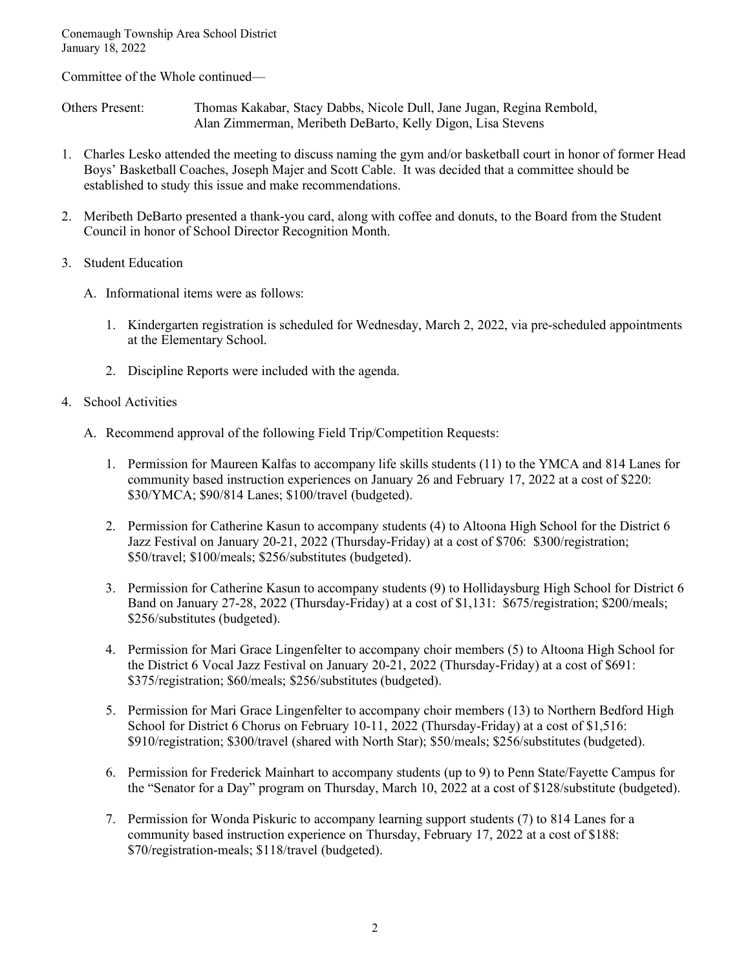Committee of the Whole continued—

Others Present: Thomas Kakabar, Stacy Dabbs, Nicole Dull, Jane Jugan, Regina Rembold, Alan Zimmerman, Meribeth DeBarto, Kelly Digon, Lisa Stevens

- 1. Charles Lesko attended the meeting to discuss naming the gym and/or basketball court in honor of former Head Boys' Basketball Coaches, Joseph Majer and Scott Cable. It was decided that a committee should be established to study this issue and make recommendations.
- 2. Meribeth DeBarto presented a thank-you card, along with coffee and donuts, to the Board from the Student Council in honor of School Director Recognition Month.
- 3. Student Education
	- A. Informational items were as follows:
		- 1. Kindergarten registration is scheduled for Wednesday, March 2, 2022, via pre-scheduled appointments at the Elementary School.
		- 2. Discipline Reports were included with the agenda.
- 4. School Activities
	- A. Recommend approval of the following Field Trip/Competition Requests:
		- 1. Permission for Maureen Kalfas to accompany life skills students (11) to the YMCA and 814 Lanes for community based instruction experiences on January 26 and February 17, 2022 at a cost of \$220: \$30/YMCA; \$90/814 Lanes; \$100/travel (budgeted).
		- 2. Permission for Catherine Kasun to accompany students (4) to Altoona High School for the District 6 Jazz Festival on January 20-21, 2022 (Thursday-Friday) at a cost of \$706: \$300/registration; \$50/travel; \$100/meals; \$256/substitutes (budgeted).
		- 3. Permission for Catherine Kasun to accompany students (9) to Hollidaysburg High School for District 6 Band on January 27-28, 2022 (Thursday-Friday) at a cost of \$1,131: \$675/registration; \$200/meals; \$256/substitutes (budgeted).
		- 4. Permission for Mari Grace Lingenfelter to accompany choir members (5) to Altoona High School for the District 6 Vocal Jazz Festival on January 20-21, 2022 (Thursday-Friday) at a cost of \$691: \$375/registration; \$60/meals; \$256/substitutes (budgeted).
		- 5. Permission for Mari Grace Lingenfelter to accompany choir members (13) to Northern Bedford High School for District 6 Chorus on February 10-11, 2022 (Thursday-Friday) at a cost of \$1,516: \$910/registration; \$300/travel (shared with North Star); \$50/meals; \$256/substitutes (budgeted).
		- 6. Permission for Frederick Mainhart to accompany students (up to 9) to Penn State/Fayette Campus for the "Senator for a Day" program on Thursday, March 10, 2022 at a cost of \$128/substitute (budgeted).
		- 7. Permission for Wonda Piskuric to accompany learning support students (7) to 814 Lanes for a community based instruction experience on Thursday, February 17, 2022 at a cost of \$188: \$70/registration-meals; \$118/travel (budgeted).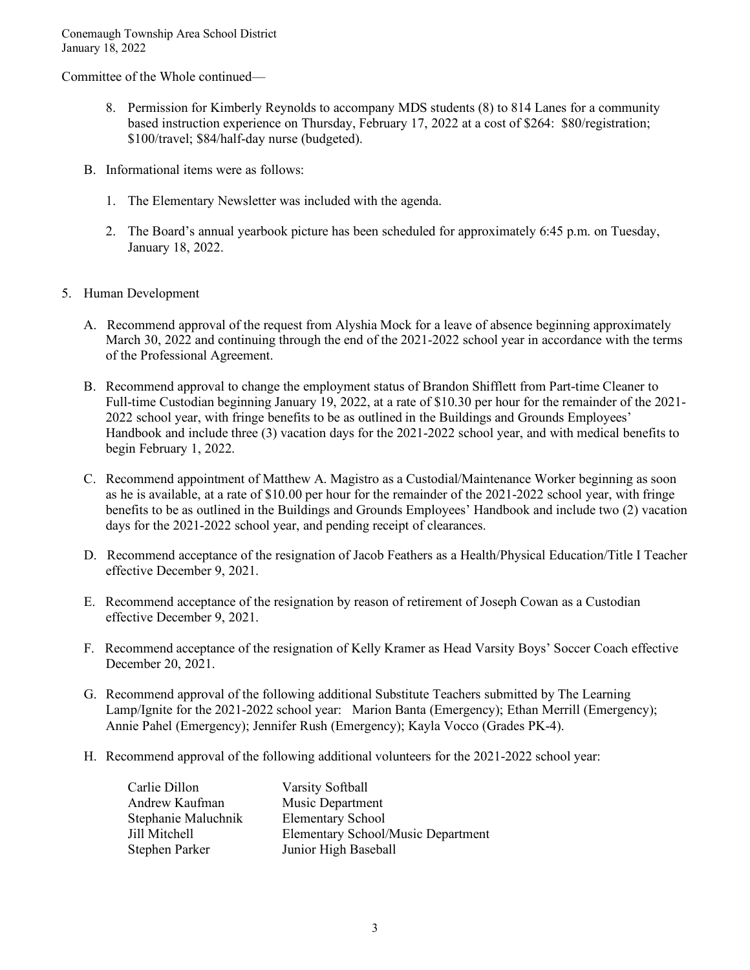Committee of the Whole continued—

- 8. Permission for Kimberly Reynolds to accompany MDS students (8) to 814 Lanes for a community based instruction experience on Thursday, February 17, 2022 at a cost of \$264: \$80/registration; \$100/travel; \$84/half-day nurse (budgeted).
- B. Informational items were as follows:
	- 1. The Elementary Newsletter was included with the agenda.
	- 2. The Board's annual yearbook picture has been scheduled for approximately 6:45 p.m. on Tuesday, January 18, 2022.
- 5. Human Development
	- A. Recommend approval of the request from Alyshia Mock for a leave of absence beginning approximately March 30, 2022 and continuing through the end of the 2021-2022 school year in accordance with the terms of the Professional Agreement.
	- B. Recommend approval to change the employment status of Brandon Shifflett from Part-time Cleaner to Full-time Custodian beginning January 19, 2022, at a rate of \$10.30 per hour for the remainder of the 2021- 2022 school year, with fringe benefits to be as outlined in the Buildings and Grounds Employees' Handbook and include three (3) vacation days for the 2021-2022 school year, and with medical benefits to begin February 1, 2022.
	- C. Recommend appointment of Matthew A. Magistro as a Custodial/Maintenance Worker beginning as soon as he is available, at a rate of \$10.00 per hour for the remainder of the 2021-2022 school year, with fringe benefits to be as outlined in the Buildings and Grounds Employees' Handbook and include two (2) vacation days for the 2021-2022 school year, and pending receipt of clearances.
	- D. Recommend acceptance of the resignation of Jacob Feathers as a Health/Physical Education/Title I Teacher effective December 9, 2021.
	- E. Recommend acceptance of the resignation by reason of retirement of Joseph Cowan as a Custodian effective December 9, 2021.
	- F. Recommend acceptance of the resignation of Kelly Kramer as Head Varsity Boys' Soccer Coach effective December 20, 2021.
	- G. Recommend approval of the following additional Substitute Teachers submitted by The Learning Lamp/Ignite for the 2021-2022 school year: Marion Banta (Emergency); Ethan Merrill (Emergency); Annie Pahel (Emergency); Jennifer Rush (Emergency); Kayla Vocco (Grades PK-4).
	- H. Recommend approval of the following additional volunteers for the 2021-2022 school year:

| Carlie Dillon       | Varsity Softball                   |
|---------------------|------------------------------------|
| Andrew Kaufman      | Music Department                   |
| Stephanie Maluchnik | <b>Elementary School</b>           |
| Jill Mitchell       | Elementary School/Music Department |
| Stephen Parker      | Junior High Baseball               |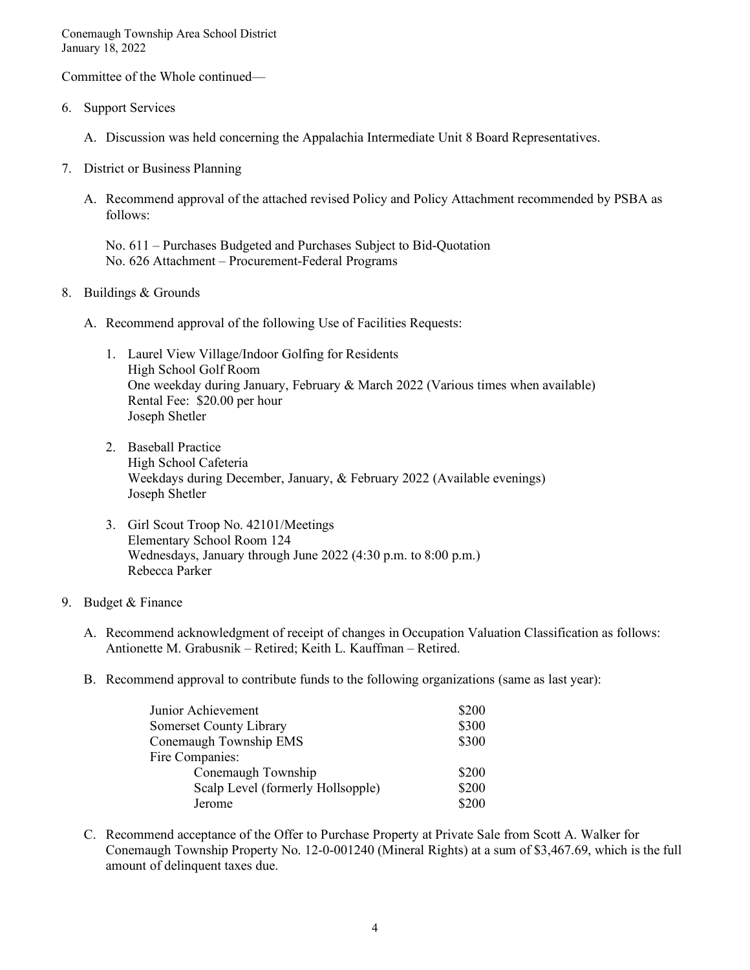Committee of the Whole continued—

- 6. Support Services
	- A. Discussion was held concerning the Appalachia Intermediate Unit 8 Board Representatives.
- 7. District or Business Planning
	- A. Recommend approval of the attached revised Policy and Policy Attachment recommended by PSBA as follows:

No. 611 – Purchases Budgeted and Purchases Subject to Bid-Quotation No. 626 Attachment – Procurement-Federal Programs

- 8. Buildings & Grounds
	- A. Recommend approval of the following Use of Facilities Requests:
		- 1. Laurel View Village/Indoor Golfing for Residents High School Golf Room One weekday during January, February & March 2022 (Various times when available) Rental Fee: \$20.00 per hour Joseph Shetler
		- 2. Baseball Practice High School Cafeteria Weekdays during December, January, & February 2022 (Available evenings) Joseph Shetler
		- 3. Girl Scout Troop No. 42101/Meetings Elementary School Room 124 Wednesdays, January through June 2022 (4:30 p.m. to 8:00 p.m.) Rebecca Parker

# 9. Budget & Finance

- A. Recommend acknowledgment of receipt of changes in Occupation Valuation Classification as follows: Antionette M. Grabusnik – Retired; Keith L. Kauffman – Retired.
- B. Recommend approval to contribute funds to the following organizations (same as last year):

| Junior Achievement                | \$200 |
|-----------------------------------|-------|
| <b>Somerset County Library</b>    | \$300 |
| Conemaugh Township EMS            | \$300 |
| Fire Companies:                   |       |
| Conemaugh Township                | \$200 |
| Scalp Level (formerly Hollsopple) | \$200 |
| Jerome                            | \$200 |

C. Recommend acceptance of the Offer to Purchase Property at Private Sale from Scott A. Walker for Conemaugh Township Property No. 12-0-001240 (Mineral Rights) at a sum of \$3,467.69, which is the full amount of delinquent taxes due.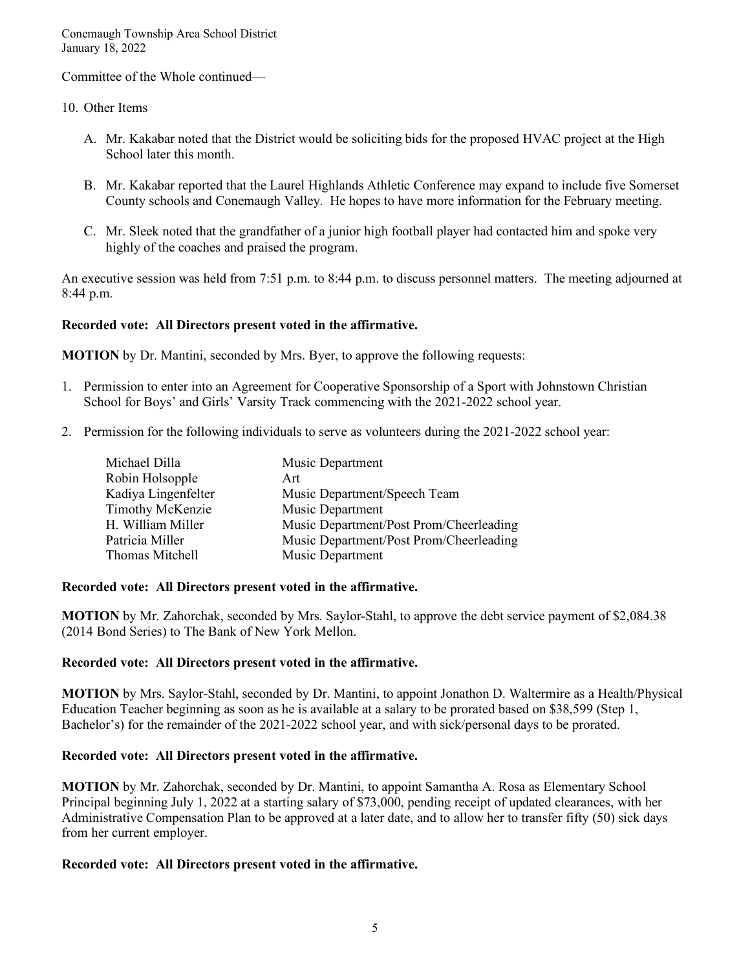Committee of the Whole continued—

# 10. Other Items

- A. Mr. Kakabar noted that the District would be soliciting bids for the proposed HVAC project at the High School later this month.
- B. Mr. Kakabar reported that the Laurel Highlands Athletic Conference may expand to include five Somerset County schools and Conemaugh Valley. He hopes to have more information for the February meeting.
- C. Mr. Sleek noted that the grandfather of a junior high football player had contacted him and spoke very highly of the coaches and praised the program.

An executive session was held from 7:51 p.m. to 8:44 p.m. to discuss personnel matters. The meeting adjourned at 8:44 p.m.

# **Recorded vote: All Directors present voted in the affirmative.**

**MOTION** by Dr. Mantini, seconded by Mrs. Byer, to approve the following requests:

- 1. Permission to enter into an Agreement for Cooperative Sponsorship of a Sport with Johnstown Christian School for Boys' and Girls' Varsity Track commencing with the 2021-2022 school year.
- 2. Permission for the following individuals to serve as volunteers during the 2021-2022 school year:

| Michael Dilla           | Music Department                        |
|-------------------------|-----------------------------------------|
| Robin Holsopple         | Art                                     |
| Kadiya Lingenfelter     | Music Department/Speech Team            |
| <b>Timothy McKenzie</b> | Music Department                        |
| H. William Miller       | Music Department/Post Prom/Cheerleading |
| Patricia Miller         | Music Department/Post Prom/Cheerleading |
| Thomas Mitchell         | Music Department                        |

# **Recorded vote: All Directors present voted in the affirmative.**

**MOTION** by Mr. Zahorchak, seconded by Mrs. Saylor-Stahl, to approve the debt service payment of \$2,084.38 (2014 Bond Series) to The Bank of New York Mellon.

# **Recorded vote: All Directors present voted in the affirmative.**

**MOTION** by Mrs. Saylor-Stahl, seconded by Dr. Mantini, to appoint Jonathon D. Waltermire as a Health/Physical Education Teacher beginning as soon as he is available at a salary to be prorated based on \$38,599 (Step 1, Bachelor's) for the remainder of the 2021-2022 school year, and with sick/personal days to be prorated.

# **Recorded vote: All Directors present voted in the affirmative.**

**MOTION** by Mr. Zahorchak, seconded by Dr. Mantini, to appoint Samantha A. Rosa as Elementary School Principal beginning July 1, 2022 at a starting salary of \$73,000, pending receipt of updated clearances, with her Administrative Compensation Plan to be approved at a later date, and to allow her to transfer fifty (50) sick days from her current employer.

# **Recorded vote: All Directors present voted in the affirmative.**